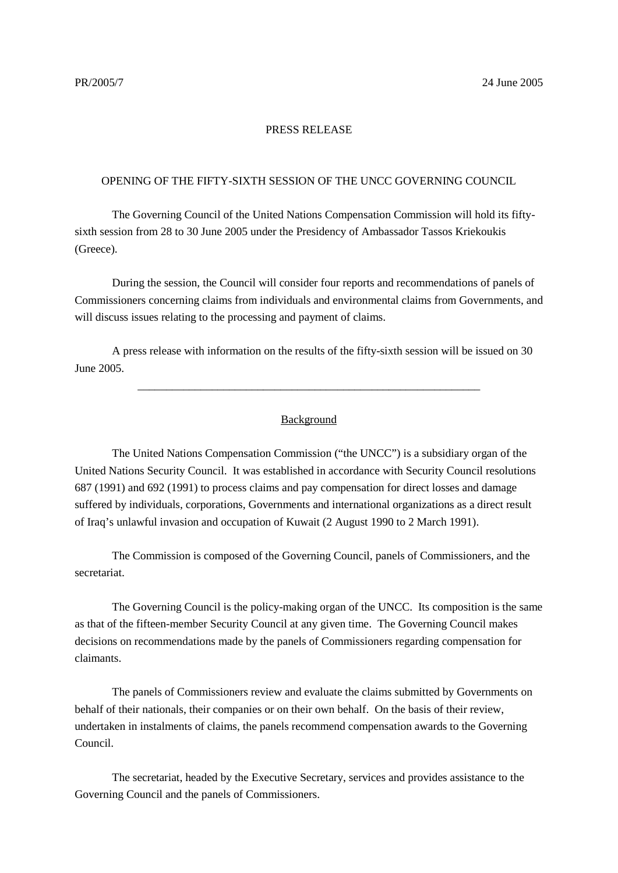## PRESS RELEASE

## OPENING OF THE FIFTY-SIXTH SESSION OF THE UNCC GOVERNING COUNCIL

The Governing Council of the United Nations Compensation Commission will hold its fiftysixth session from 28 to 30 June 2005 under the Presidency of Ambassador Tassos Kriekoukis (Greece).

During the session, the Council will consider four reports and recommendations of panels of Commissioners concerning claims from individuals and environmental claims from Governments, and will discuss issues relating to the processing and payment of claims.

A press release with information on the results of the fifty-sixth session will be issued on 30 June 2005.

## Background

\_\_\_\_\_\_\_\_\_\_\_\_\_\_\_\_\_\_\_\_\_\_\_\_\_\_\_\_\_\_\_\_\_\_\_\_\_\_\_\_\_\_\_\_\_\_\_\_\_\_\_\_\_\_\_\_\_\_\_\_

The United Nations Compensation Commission ("the UNCC") is a subsidiary organ of the United Nations Security Council. It was established in accordance with Security Council resolutions 687 (1991) and 692 (1991) to process claims and pay compensation for direct losses and damage suffered by individuals, corporations, Governments and international organizations as a direct result of Iraq's unlawful invasion and occupation of Kuwait (2 August 1990 to 2 March 1991).

The Commission is composed of the Governing Council, panels of Commissioners, and the secretariat.

The Governing Council is the policy-making organ of the UNCC. Its composition is the same as that of the fifteen-member Security Council at any given time. The Governing Council makes decisions on recommendations made by the panels of Commissioners regarding compensation for claimants.

The panels of Commissioners review and evaluate the claims submitted by Governments on behalf of their nationals, their companies or on their own behalf. On the basis of their review, undertaken in instalments of claims, the panels recommend compensation awards to the Governing Council.

The secretariat, headed by the Executive Secretary, services and provides assistance to the Governing Council and the panels of Commissioners.